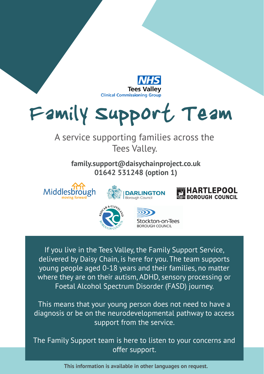

# Family Support Team

#### A service supporting families across the Tees Valley.

**family.support@daisychainproject.co.uk 01642 531248 (option 1)**







If you live in the Tees Valley, the Family Support Service, delivered by Daisy Chain, is here for you. The team supports young people aged 0-18 years and their families, no matter where they are on their autism, ADHD, sensory processing or Foetal Alcohol Spectrum Disorder (FASD) journey.

This means that your young person does not need to have a diagnosis or be on the neurodevelopmental pathway to access support from the service.

The Family Support team is here to listen to your concerns and offer support.

**This information is available in other languages on request.**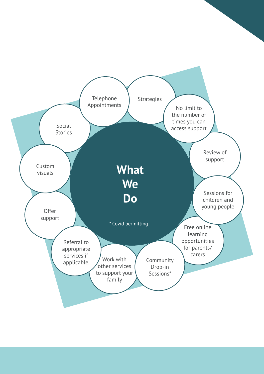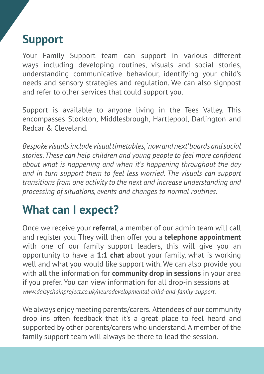## **Support**

Your Family Support team can support in various different ways including developing routines, visuals and social stories, understanding communicative behaviour, identifying your child's needs and sensory strategies and regulation. We can also signpost and refer to other services that could support you.

Support is available to anyone living in the Tees Valley. This encompasses Stockton, Middlesbrough, Hartlepool, Darlington and Redcar & Cleveland.

*Bespoke visuals include visual timetables, 'now and next' boards and social stories. These can help children and young people to feel more confident about what is happening and when it's happening throughout the day and in turn support them to feel less worried. The visuals can support transitions from one activity to the next and increase understanding and processing of situations, events and changes to normal routines.* 

## **What can I expect?**

Once we receive your **referral**, a member of our admin team will call and register you. They will then offer you a **telephone appointment**  with one of our family support leaders, this will give you an opportunity to have a **1:1 chat** about your family, what is working well and what you would like support with. We can also provide you with all the information for **community drop in sessions** in your area if you prefer. You can view information for all drop-in sessions at *www.daisychainproject.co.uk/neurodevelopmental-child-and-family-support.*

We always enjoy meeting parents/carers. Attendees of our community drop ins often feedback that it's a great place to feel heard and supported by other parents/carers who understand. A member of the family support team will always be there to lead the session.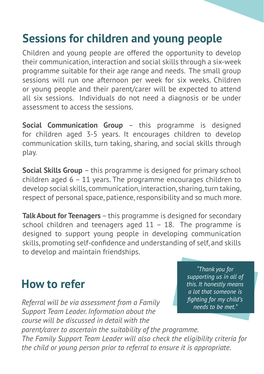## **Sessions for children and young people**

Children and young people are offered the opportunity to develop their communication, interaction and social skills through a six-week programme suitable for their age range and needs. The small group sessions will run one afternoon per week for six weeks. Children or young people and their parent/carer will be expected to attend all six sessions. Individuals do not need a diagnosis or be under assessment to access the sessions.

**Social Communication Group** – this programme is designed for children aged 3-5 years. It encourages children to develop communication skills, turn taking, sharing, and social skills through play.

**Social Skills Group** – this programme is designed for primary school children aged 6 – 11 years. The programme encourages children to develop social skills, communication, interaction, sharing, turn taking, respect of personal space, patience, responsibility and so much more.

**Talk About for Teenagers** – this programme is designed for secondary school children and teenagers aged  $11 - 18$ . The programme is designed to support young people in developing communication skills, promoting self-confidence and understanding of self, and skills to develop and maintain friendships.

### **How to refer**

*Referral will be via assessment from a Family Support Team Leader. Information about the course will be discussed in detail with the* 

*"Thank you for supporting us in all of this. It honestly means a lot that someone is fighting for my child's needs to be met."*

*parent/carer to ascertain the suitability of the programme. The Family Support Team Leader will also check the eligibility criteria for the child or young person prior to referral to ensure it is appropriate.*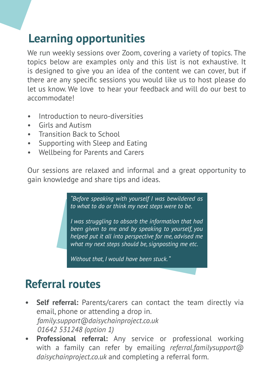## **Learning opportunities**

We run weekly sessions over Zoom, covering a variety of topics. The topics below are examples only and this list is not exhaustive. It is designed to give you an idea of the content we can cover, but if there are any specific sessions you would like us to host please do let us know. We love to hear your feedback and will do our best to accommodate!

- Introduction to neuro-diversities
- Girls and Autism
- Transition Back to School
- Supporting with Sleep and Eating
- Wellbeing for Parents and Carers

Our sessions are relaxed and informal and a great opportunity to gain knowledge and share tips and ideas.

> *"Before speaking with yourself I was bewildered as to what to do or think my next steps were to be.*

> *I was struggling to absorb the information that had been given to me and by speaking to yourself, you helped put it all into perspective for me, advised me what my next steps should be, signposting me etc.*

*Without that, I would have been stuck. "*

## **Referral routes**

- **Self referral:** Parents/carers can contact the team directly via email, phone or attending a drop in. *family.support@daisychainproject.co.uk 01642 531248 (option 1)*
- **• Professional referral:** Any service or professional working with a family can refer by emailing *referral.familysupport@ daisychainproject.co.uk* and completing a referral form.